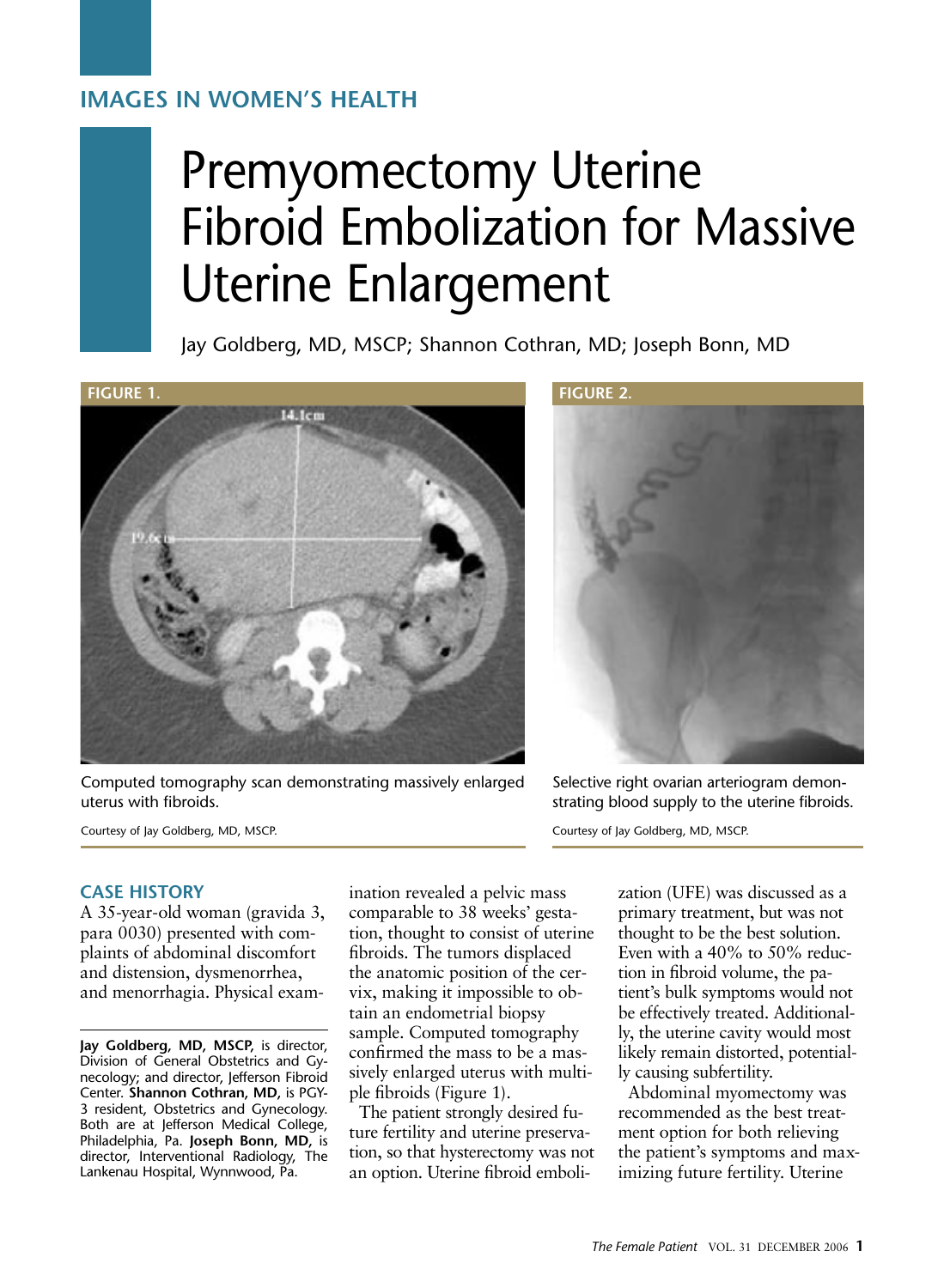# **IMAGES IN WOMEN'S HEALTH**

# Premyomectomy Uterine Fibroid Embolization for Massive Uterine Enlargement

Jay Goldberg, MD, MSCP; Shannon Cothran, MD; Joseph Bonn, MD



Computed tomography scan demonstrating massively enlarged uterus with fibroids.

Courtesy of Jay Goldberg, MD, MSCP.



Selective right ovarian arteriogram demonstrating blood supply to the uterine fibroids.

Courtesy of Jay Goldberg, MD, MSCP.

#### **CASE HISTORY**

A 35-year-old woman (gravida 3, para 0030) presented with complaints of abdominal discomfort and distension, dysmenorrhea, and menorrhagia. Physical exam-

**Jay Goldberg, MD, MSCP,** is director, Division of General Obstetrics and Gynecology; and director, Jefferson Fibroid Center. **Shannon Cothran, MD,** is PGY-3 resident, Obstetrics and Gynecology. Both are at Jefferson Medical College, Philadelphia, Pa. **Joseph Bonn, MD,** is director, Interventional Radiology, The Lankenau Hospital, Wynnwood, Pa.

ination revealed a pelvic mass comparable to 38 weeks' gestation, thought to consist of uterine fibroids. The tumors displaced the anatomic position of the cervix, making it impossible to obtain an endometrial biopsy sample. Computed tomography confirmed the mass to be a massively enlarged uterus with multiple fibroids (Figure 1).

The patient strongly desired future fertility and uterine preservation, so that hysterectomy was not an option. Uterine fibroid embolization (UFE) was discussed as a primary treatment, but was not thought to be the best solution. Even with a 40% to 50% reduction in fibroid volume, the patient's bulk symptoms would not be effectively treated. Additionally, the uterine cavity would most likely remain distorted, potentially causing subfertility.

Abdominal myomectomy was recommended as the best treatment option for both relieving the patient's symptoms and maximizing future fertility. Uterine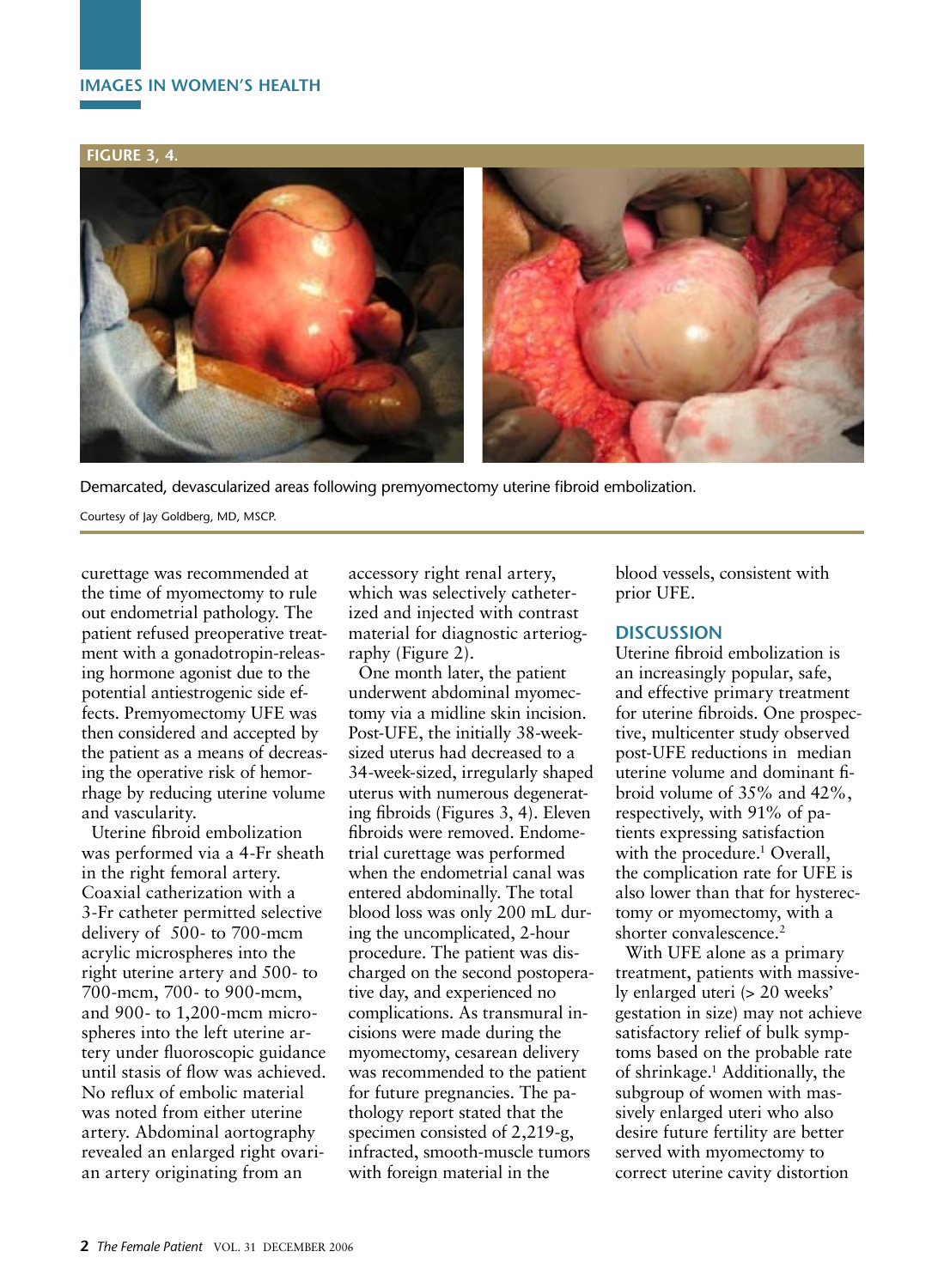### **IMAGES IN WOMEN'S HEALTH**

#### **FIGURE 3, 4.**



Demarcated, devascularized areas following premyomectomy uterine fibroid embolization.

Courtesy of Jay Goldberg, MD, MSCP.

curettage was recommended at the time of myomectomy to rule out endometrial pathology. The patient refused preoperative treatment with a gonadotropin-releasing hormone agonist due to the potential antiestrogenic side effects. Premyomectomy UFE was then considered and accepted by the patient as a means of decreasing the operative risk of hemorrhage by reducing uterine volume and vascularity.

Uterine fibroid embolization was performed via a 4-Fr sheath in the right femoral artery. Coaxial catherization with a 3-Fr catheter permitted selective delivery of 500- to 700-mcm acrylic microspheres into the right uterine artery and 500- to 700-mcm, 700- to 900-mcm, and 900- to 1,200-mcm microspheres into the left uterine artery under fluoroscopic guidance until stasis of flow was achieved. No reflux of embolic material was noted from either uterine artery. Abdominal aortography revealed an enlarged right ovarian artery originating from an

accessory right renal artery, which was selectively catheterized and injected with contrast material for diagnostic arteriography (Figure 2).

One month later, the patient underwent abdominal myomectomy via a midline skin incision. Post-UFE, the initially 38-weeksized uterus had decreased to a 34-week-sized, irregularly shaped uterus with numerous degenerating fibroids (Figures 3, 4). Eleven fibroids were removed. Endometrial curettage was performed when the endometrial canal was entered abdominally. The total blood loss was only 200 mL during the uncomplicated, 2-hour procedure. The patient was discharged on the second postoperative day, and experienced no complications. As transmural incisions were made during the myomectomy, cesarean delivery was recommended to the patient for future pregnancies. The pathology report stated that the specimen consisted of 2,219-g, infracted, smooth-muscle tumors with foreign material in the

blood vessels, consistent with prior UFE.

## **DISCUSSION**

Uterine fibroid embolization is an increasingly popular, safe, and effective primary treatment for uterine fibroids. One prospective, multicenter study observed post-UFE reductions in median uterine volume and dominant fibroid volume of 35% and 42%, respectively, with 91% of patients expressing satisfaction with the procedure.<sup>1</sup> Overall, the complication rate for UFE is also lower than that for hysterectomy or myomectomy, with a shorter convalescence.<sup>2</sup>

With UFE alone as a primary treatment, patients with massively enlarged uteri (> 20 weeks' gestation in size) may not achieve satisfactory relief of bulk symptoms based on the probable rate of shrinkage.1 Additionally, the subgroup of women with massively enlarged uteri who also desire future fertility are better served with myomectomy to correct uterine cavity distortion